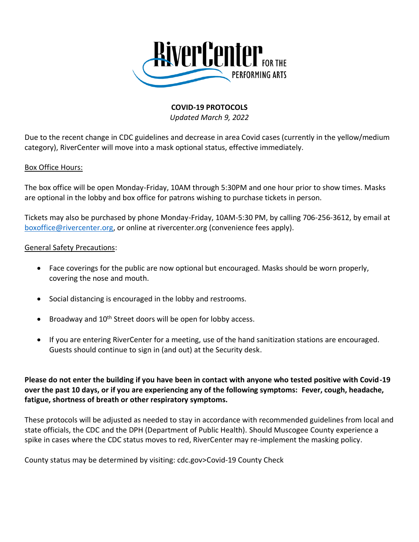

## **COVID-19 PROTOCOLS**

*Updated March 9, 2022*

Due to the recent change in CDC guidelines and decrease in area Covid cases (currently in the yellow/medium category), RiverCenter will move into a mask optional status, effective immediately.

## Box Office Hours:

The box office will be open Monday-Friday, 10AM through 5:30PM and one hour prior to show times. Masks are optional in the lobby and box office for patrons wishing to purchase tickets in person.

Tickets may also be purchased by phone Monday-Friday, 10AM-5:30 PM, by calling 706-256-3612, by email at [boxoffice@rivercenter.org,](mailto:boxoffice@rivercenter.org) or online at rivercenter.org (convenience fees apply).

## General Safety Precautions:

- Face coverings for the public are now optional but encouraged. Masks should be worn properly, covering the nose and mouth.
- Social distancing is encouraged in the lobby and restrooms.
- Broadway and  $10<sup>th</sup>$  Street doors will be open for lobby access.
- If you are entering RiverCenter for a meeting, use of the hand sanitization stations are encouraged. Guests should continue to sign in (and out) at the Security desk.

**Please do not enter the building if you have been in contact with anyone who tested positive with Covid-19 over the past 10 days, or if you are experiencing any of the following symptoms: Fever, cough, headache, fatigue, shortness of breath or other respiratory symptoms.**

These protocols will be adjusted as needed to stay in accordance with recommended guidelines from local and state officials, the CDC and the DPH (Department of Public Health). Should Muscogee County experience a spike in cases where the CDC status moves to red, RiverCenter may re-implement the masking policy.

County status may be determined by visiting: cdc.gov>Covid-19 County Check